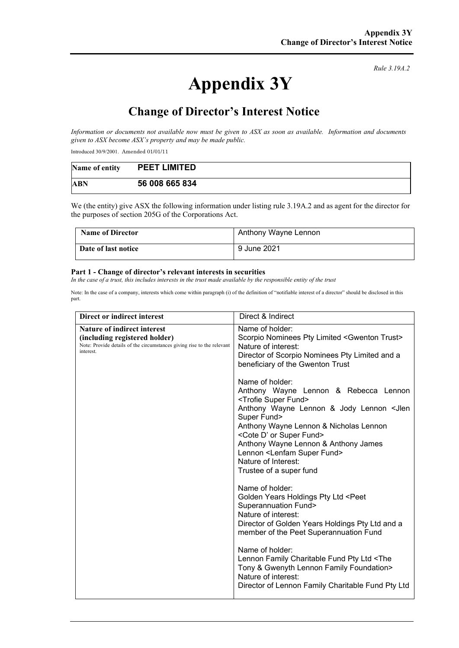# **Appendix 3Y**

*Rule 3.19A.2*

# **Change of Director's Interest Notice**

*Information or documents not available now must be given to ASX as soon as available. Information and documents given to ASX become ASX's property and may be made public.*

Introduced 30/9/2001. Amended 01/01/11

| Name of entity | <b>PEET LIMITED</b> |
|----------------|---------------------|
| ABN            | 56 008 665 834      |

We (the entity) give ASX the following information under listing rule 3.19A.2 and as agent for the director for the purposes of section 205G of the Corporations Act.

| <b>Name of Director</b> | Anthony Wayne Lennon |
|-------------------------|----------------------|
| Date of last notice     | 9 June 2021          |

#### **Part 1 - Change of director's relevant interests in securities**

*In the case of a trust, this includes interests in the trust made available by the responsible entity of the trust*

Note: In the case of a company, interests which come within paragraph (i) of the definition of "notifiable interest of a director" should be disclosed in this part.

| Direct or indirect interest                                                                                                                         | Direct & Indirect                                                                                                                                                                                                                                                                                                                                                                                                                                                                                                                                                                                                                                                                                                                                                                                                                                                                  |
|-----------------------------------------------------------------------------------------------------------------------------------------------------|------------------------------------------------------------------------------------------------------------------------------------------------------------------------------------------------------------------------------------------------------------------------------------------------------------------------------------------------------------------------------------------------------------------------------------------------------------------------------------------------------------------------------------------------------------------------------------------------------------------------------------------------------------------------------------------------------------------------------------------------------------------------------------------------------------------------------------------------------------------------------------|
| Nature of indirect interest<br>(including registered holder)<br>Note: Provide details of the circumstances giving rise to the relevant<br>interest. | Name of holder:<br>Scorpio Nominees Pty Limited <gwenton trust=""><br/>Nature of interest:<br/>Director of Scorpio Nominees Pty Limited and a<br/>beneficiary of the Gwenton Trust<br/>Name of holder:<br/>Anthony Wayne Lennon &amp; Rebecca Lennon<br/><trofie fund="" super=""><br/>Anthony Wayne Lennon &amp; Jody Lennon <jlen<br>Super Fund&gt;<br/>Anthony Wayne Lennon &amp; Nicholas Lennon<br/><cote d'="" fund="" or="" super=""><br/>Anthony Wayne Lennon &amp; Anthony James<br/>Lennon <lenfam fund="" super=""><br/>Nature of Interest:<br/>Trustee of a super fund<br/>Name of holder:<br/>Golden Years Holdings Pty Ltd <peet<br><b>Superannuation Fund&gt;</b><br/>Nature of interest:<br/>Director of Golden Years Holdings Pty Ltd and a<br/>member of the Peet Superannuation Fund<br/>Name of holder:</peet<br></lenfam></cote></jlen<br></trofie></gwenton> |
|                                                                                                                                                     | Lennon Family Charitable Fund Pty Ltd <the<br>Tony &amp; Gwenyth Lennon Family Foundation&gt;<br/>Nature of interest:<br/>Director of Lennon Family Charitable Fund Pty Ltd</the<br>                                                                                                                                                                                                                                                                                                                                                                                                                                                                                                                                                                                                                                                                                               |
|                                                                                                                                                     |                                                                                                                                                                                                                                                                                                                                                                                                                                                                                                                                                                                                                                                                                                                                                                                                                                                                                    |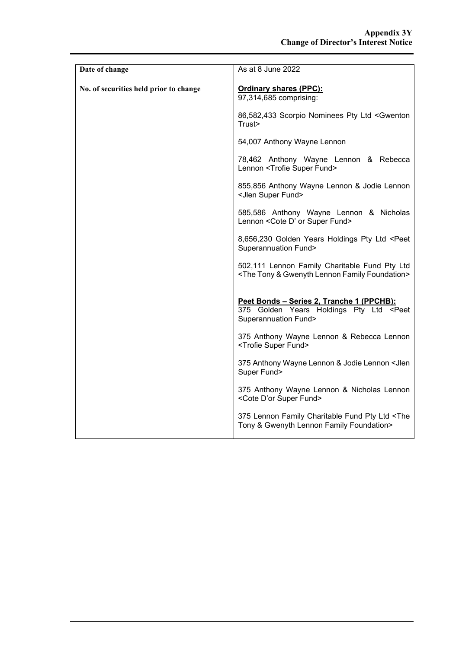| Date of change                         | As at 8 June 2022                                                                                                                |
|----------------------------------------|----------------------------------------------------------------------------------------------------------------------------------|
| No. of securities held prior to change | <b>Ordinary shares (PPC):</b><br>97,314,685 comprising:                                                                          |
|                                        | 86,582,433 Scorpio Nominees Pty Ltd <gwenton<br>Trust&gt;</gwenton<br>                                                           |
|                                        | 54,007 Anthony Wayne Lennon                                                                                                      |
|                                        | 78,462 Anthony Wayne Lennon & Rebecca<br>Lennon <trofie fund="" super=""></trofie>                                               |
|                                        | 855,856 Anthony Wayne Lennon & Jodie Lennon<br><jlen fund="" super=""></jlen>                                                    |
|                                        | 585,586 Anthony Wayne Lennon & Nicholas<br>Lennon < Cote D' or Super Fund>                                                       |
|                                        | 8,656,230 Golden Years Holdings Pty Ltd <peet<br><b>Superannuation Fund&gt;</b></peet<br>                                        |
|                                        | 502,111 Lennon Family Charitable Fund Pty Ltd<br><the &="" family="" foundation="" gwenyth="" lennon="" tony=""></the>           |
|                                        | Peet Bonds - Series 2, Tranche 1 (PPCHB):<br>375 Golden Years Holdings Pty Ltd <peet<br><b>Superannuation Fund&gt;</b></peet<br> |
|                                        | 375 Anthony Wayne Lennon & Rebecca Lennon<br><trofie fund="" super=""></trofie>                                                  |
|                                        | 375 Anthony Wayne Lennon & Jodie Lennon < Jlen<br>Super Fund>                                                                    |
|                                        | 375 Anthony Wayne Lennon & Nicholas Lennon<br><cote d'or="" fund="" super=""></cote>                                             |
|                                        | 375 Lennon Family Charitable Fund Pty Ltd <the<br>Tony &amp; Gwenyth Lennon Family Foundation&gt;</the<br>                       |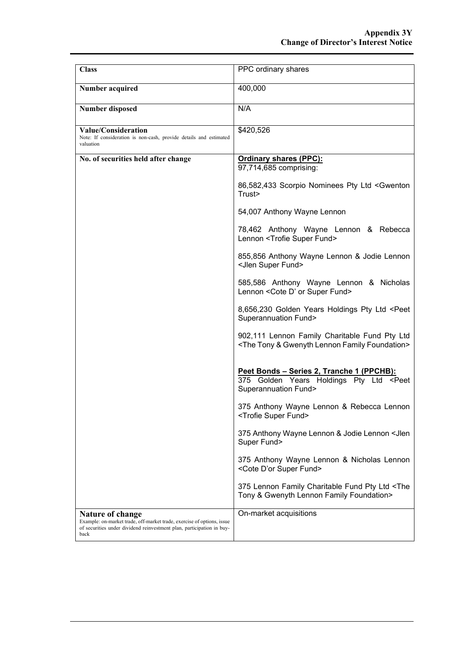| <b>Class</b>                                                                                                                                                                       | PPC ordinary shares                                                                                                              |
|------------------------------------------------------------------------------------------------------------------------------------------------------------------------------------|----------------------------------------------------------------------------------------------------------------------------------|
| Number acquired                                                                                                                                                                    | 400,000                                                                                                                          |
| <b>Number disposed</b>                                                                                                                                                             | N/A                                                                                                                              |
| Value/Consideration<br>Note: If consideration is non-cash, provide details and estimated<br>valuation                                                                              | \$420,526                                                                                                                        |
| No. of securities held after change                                                                                                                                                | <b>Ordinary shares (PPC):</b><br>97,714,685 comprising:                                                                          |
|                                                                                                                                                                                    | 86,582,433 Scorpio Nominees Pty Ltd <gwenton<br>Trust&gt;</gwenton<br>                                                           |
|                                                                                                                                                                                    | 54,007 Anthony Wayne Lennon                                                                                                      |
|                                                                                                                                                                                    | 78,462 Anthony Wayne Lennon & Rebecca<br>Lennon <trofie fund="" super=""></trofie>                                               |
|                                                                                                                                                                                    | 855,856 Anthony Wayne Lennon & Jodie Lennon<br><jlen fund="" super=""></jlen>                                                    |
|                                                                                                                                                                                    | 585,586 Anthony Wayne Lennon & Nicholas<br>Lennon < Cote D' or Super Fund>                                                       |
|                                                                                                                                                                                    | 8,656,230 Golden Years Holdings Pty Ltd <peet<br><b>Superannuation Fund&gt;</b></peet<br>                                        |
|                                                                                                                                                                                    | 902,111 Lennon Family Charitable Fund Pty Ltd<br><the &="" family="" foundation="" gwenyth="" lennon="" tony=""></the>           |
|                                                                                                                                                                                    | Peet Bonds - Series 2, Tranche 1 (PPCHB):<br>375 Golden Years Holdings Pty Ltd <peet<br><b>Superannuation Fund&gt;</b></peet<br> |
|                                                                                                                                                                                    | 375 Anthony Wayne Lennon & Rebecca Lennon<br><trofie fund="" super=""></trofie>                                                  |
|                                                                                                                                                                                    | 375 Anthony Wayne Lennon & Jodie Lennon < Jlen<br>Super Fund>                                                                    |
|                                                                                                                                                                                    | 375 Anthony Wayne Lennon & Nicholas Lennon<br><cote d'or="" fund="" super=""></cote>                                             |
|                                                                                                                                                                                    | 375 Lennon Family Charitable Fund Pty Ltd <the<br>Tony &amp; Gwenyth Lennon Family Foundation&gt;</the<br>                       |
| <b>Nature of change</b><br>Example: on-market trade, off-market trade, exercise of options, issue<br>of securities under dividend reinvestment plan, participation in buy-<br>back | On-market acquisitions                                                                                                           |